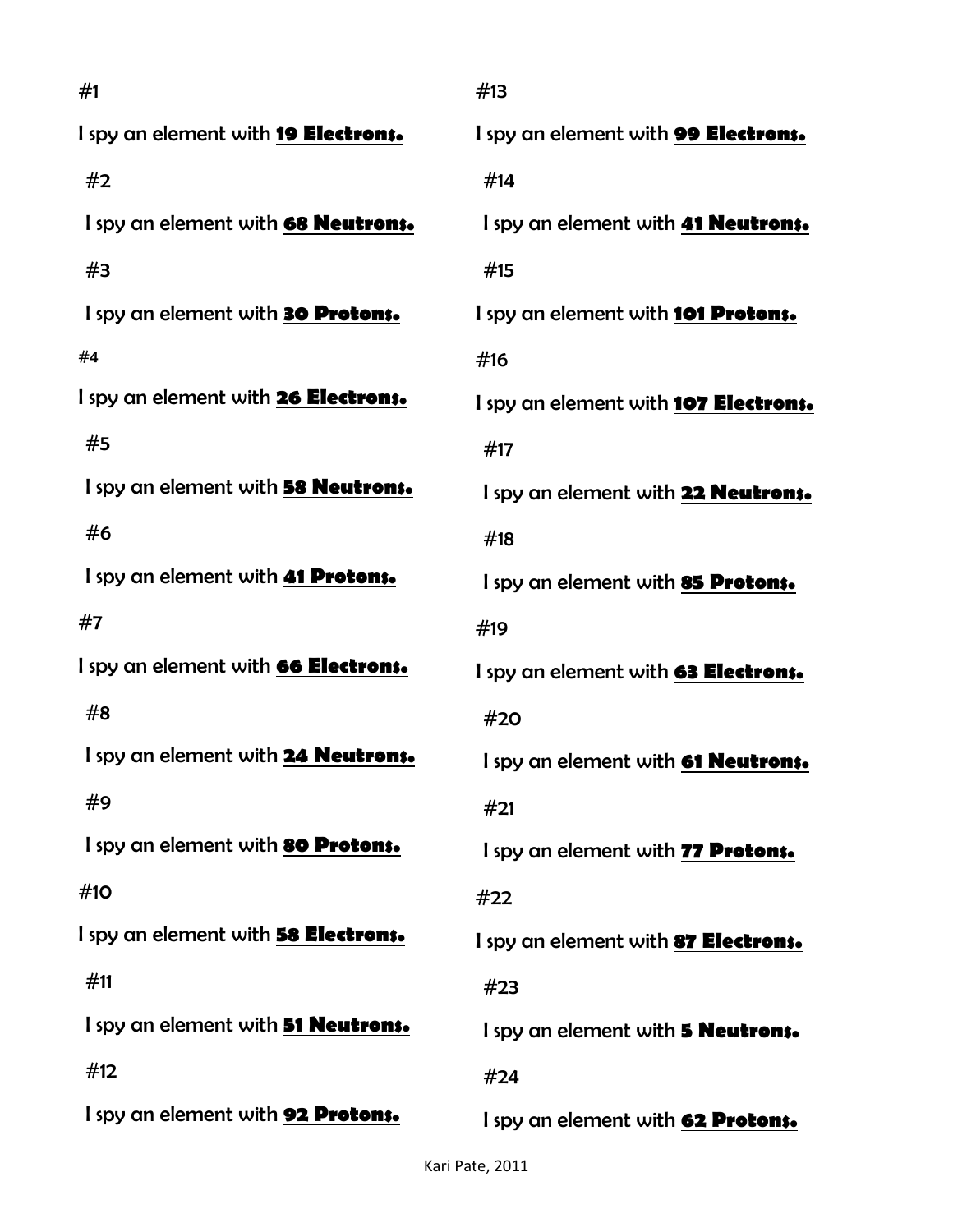| #1                                         | #13                                        |
|--------------------------------------------|--------------------------------------------|
| I spy an element with 19 Electrons.        | I spy an element with <b>99 Electrons.</b> |
| #2                                         | #14                                        |
| I spy an element with 68 <b>Neutrons.</b>  | I spy an element with <b>41 Neutrons.</b>  |
| #3                                         | #15                                        |
| I spy an element with <b>30 Protons.</b>   | I spy an element with 101 Protons.         |
| #4                                         | #16                                        |
| I spy an element with 26 Electrons.        | I spy an element with 107 Electrons.       |
| #5                                         | #17                                        |
| I spy an element with 58 Neutrons.         | I spy an element with 22 <b>Neutrons.</b>  |
| #6                                         | #18                                        |
| I spy an element with 41 Protons.          | I spy an element with 85 Protons.          |
| #7                                         | #19                                        |
| I spy an element with <b>66 Electrons.</b> | I spy an element with <b>63 Electrons.</b> |
| #8                                         | #20                                        |
| I spy an element with 24 <b>Neutrons.</b>  | I spy an element with <b>61 Neutrons.</b>  |
| #9                                         | #21                                        |
| I spy an element with 80 Protons.          | I spy an element with 77 Protons.          |
| #10                                        | #22                                        |
| I spy an element with <b>58 Electrons.</b> | I spy an element with <b>87 Electrons.</b> |
| #11                                        | #23                                        |
| I spy an element with <b>51 Neutrons.</b>  | I spy an element with <b>5 Neutrons.</b>   |
| #12                                        | #24                                        |
| I spy an element with 92 Protons.          | I spy an element with 62 Protons.          |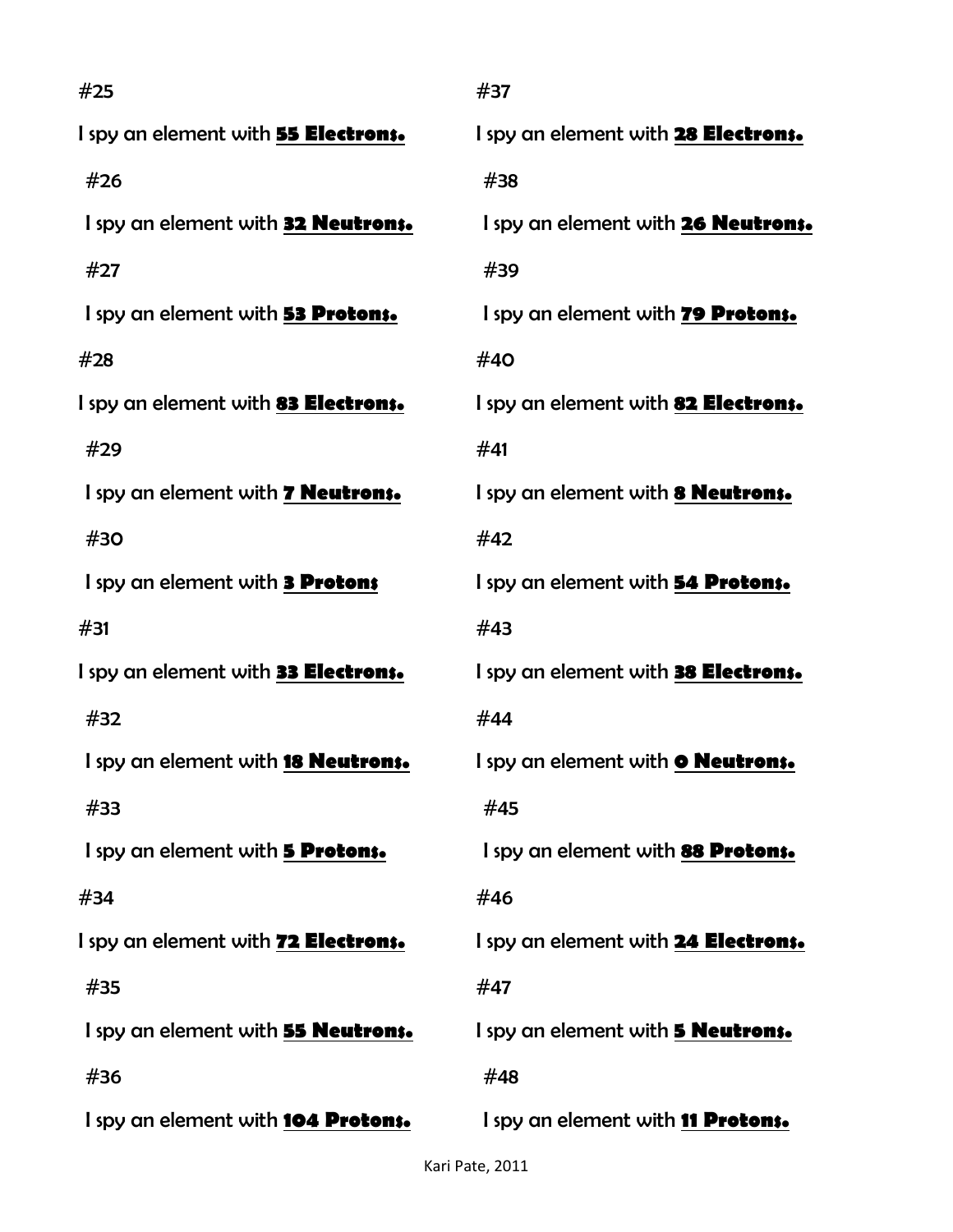| #25                                        | #37                                        |
|--------------------------------------------|--------------------------------------------|
| I spy an element with 55 Electrons.        | I spy an element with 28 Electrons.        |
| #26                                        | #38                                        |
| I spy an element with 32 Neutrons.         | I spy an element with 26 <b>Neutrons.</b>  |
| #27                                        | #39                                        |
| I spy an element with 53 Protons.          | I spy an element with 79 Protons.          |
| #28                                        | #40                                        |
| I spy an element with 83 Electrons.        | I spy an element with 82 Electrons.        |
| #29                                        | #41                                        |
| I spy an element with <b>7 Neutrons.</b>   | I spy an element with <b>8 Neutrons.</b>   |
| #30                                        | #42                                        |
| I spy an element with <b>3 Protons</b>     | I spy an element with 54 Protons.          |
| #31                                        | #43                                        |
| I spy an element with 33 Electrons.        | I spy an element with <b>38 Electrons.</b> |
| #32                                        | #44                                        |
| I spy an element with <b>18 Neutrons.</b>  | I spy an element with <b>O Neutrons.</b>   |
| #33                                        | #45                                        |
| I spy an element with <b>5 Protons.</b>    | I spy an element with 88 Protons.          |
| #34                                        | #46                                        |
| I spy an element with <b>72 Electrons.</b> | I spy an element with 24 <b>Electrons.</b> |
| #35                                        | #47                                        |
| I spy an element with <b>55 Neutrons.</b>  | I spy an element with <b>5 Neutrons.</b>   |
| #36                                        | #48                                        |
| I spy an element with <b>104 Protons.</b>  | I spy an element with <b>11 Protons.</b>   |